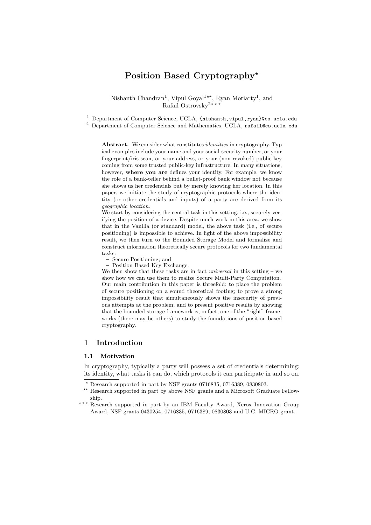# Position Based Cryptography<sup>\*</sup>

Nishanth Chandran<sup>1</sup>, Vipul Goyal<sup>1\*\*</sup>, Ryan Moriarty<sup>1</sup>, and Rafail Ostrovsky<sup>2\*\*</sup>

 $^{\rm 1}$  Department of Computer Science, UCLA,  $\{ \text{nishanth}, \text{vipul}, \text{ryan}\}$ @cs.ucla.edu <sup>2</sup> Department of Computer Science and Mathematics, UCLA, rafail@cs.ucla.edu

Abstract. We consider what constitutes identities in cryptography. Typical examples include your name and your social-security number, or your fingerprint/iris-scan, or your address, or your (non-revoked) public-key coming from some trusted public-key infrastructure. In many situations, however, where you are defines your identity. For example, we know the role of a bank-teller behind a bullet-proof bank window not because she shows us her credentials but by merely knowing her location. In this paper, we initiate the study of cryptographic protocols where the identity (or other credentials and inputs) of a party are derived from its geographic location.

We start by considering the central task in this setting, i.e., securely verifying the position of a device. Despite much work in this area, we show that in the Vanilla (or standard) model, the above task (i.e., of secure positioning) is impossible to achieve. In light of the above impossibility result, we then turn to the Bounded Storage Model and formalize and construct information theoretically secure protocols for two fundamental tasks:

– Secure Positioning; and

– Position Based Key Exchange.

We then show that these tasks are in fact *universal* in this setting – we show how we can use them to realize Secure Multi-Party Computation. Our main contribution in this paper is threefold: to place the problem of secure positioning on a sound theoretical footing; to prove a strong impossibility result that simultaneously shows the insecurity of previous attempts at the problem; and to present positive results by showing that the bounded-storage framework is, in fact, one of the "right" frameworks (there may be others) to study the foundations of position-based cryptography.

## 1 Introduction

#### 1.1 Motivation

In cryptography, typically a party will possess a set of credentials determining: its identity, what tasks it can do, which protocols it can participate in and so on.

 $^{\star}$  Research supported in part by NSF grants 0716835, 0716389, 0830803.

<sup>\*\*</sup> Research supported in part by above NSF grants and a Microsoft Graduate Fellowship.

<sup>\*\*\*</sup> Research supported in part by an IBM Faculty Award, Xerox Innovation Group Award, NSF grants 0430254, 0716835, 0716389, 0830803 and U.C. MICRO grant.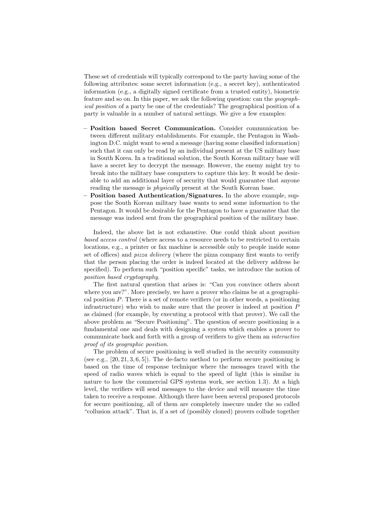These set of credentials will typically correspond to the party having some of the following attributes: some secret information (e.g., a secret key), authenticated information (e.g., a digitally signed certificate from a trusted entity), biometric feature and so on. In this paper, we ask the following question: can the geographical position of a party be one of the credentials? The geographical position of a party is valuable in a number of natural settings. We give a few examples:

- Position based Secret Communication. Consider communication between different military establishments. For example, the Pentagon in Washington D.C. might want to send a message (having some classified information) such that it can only be read by an individual present at the US military base in South Korea. In a traditional solution, the South Korean military base will have a secret key to decrypt the message. However, the enemy might try to break into the military base computers to capture this key. It would be desirable to add an additional layer of security that would guarantee that anyone reading the message is physically present at the South Korean base.
- Position based Authentication/Signatures. In the above example, suppose the South Korean military base wants to send some information to the Pentagon. It would be desirable for the Pentagon to have a guarantee that the message was indeed sent from the geographical position of the military base.

Indeed, the above list is not exhaustive. One could think about position based access control (where access to a resource needs to be restricted to certain locations, e.g., a printer or fax machine is accessible only to people inside some set of offices) and *pizza delivery* (where the pizza company first wants to verify that the person placing the order is indeed located at the delivery address he specified). To perform such "position specific" tasks, we introduce the notion of position based cryptography.

The first natural question that arises is: "Can you convince others about where you are?". More precisely, we have a prover who claims be at a geographical position P. There is a set of remote verifiers (or in other words, a positioning infrastructure) who wish to make sure that the prover is indeed at position  $P$ as claimed (for example, by executing a protocol with that prover). We call the above problem as "Secure Positioning". The question of secure positioning is a fundamental one and deals with designing a system which enables a prover to communicate back and forth with a group of verifiers to give them an interactive proof of its geographic position.

The problem of secure positioning is well studied in the security community (see e.g.,  $[20, 21, 3, 6, 5]$ ). The de-facto method to perform secure positioning is based on the time of response technique where the messages travel with the speed of radio waves which is equal to the speed of light (this is similar in nature to how the commercial GPS systems work, see section 1.3). At a high level, the verifiers will send messages to the device and will measure the time taken to receive a response. Although there have been several proposed protocols for secure positioning, all of them are completely insecure under the so called "collusion attack". That is, if a set of (possibly cloned) provers collude together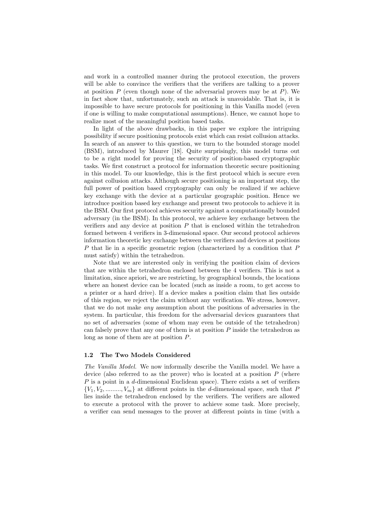and work in a controlled manner during the protocol execution, the provers will be able to convince the verifiers that the verifiers are talking to a prover at position  $P$  (even though none of the adversarial provers may be at  $P$ ). We in fact show that, unfortunately, such an attack is unavoidable. That is, it is impossible to have secure protocols for positioning in this Vanilla model (even if one is willing to make computational assumptions). Hence, we cannot hope to realize most of the meaningful position based tasks.

In light of the above drawbacks, in this paper we explore the intriguing possibility if secure positioning protocols exist which can resist collusion attacks. In search of an answer to this question, we turn to the bounded storage model (BSM), introduced by Maurer [18]. Quite surprisingly, this model turns out to be a right model for proving the security of position-based cryptographic tasks. We first construct a protocol for information theoretic secure positioning in this model. To our knowledge, this is the first protocol which is secure even against collusion attacks. Although secure positioning is an important step, the full power of position based cryptography can only be realized if we achieve key exchange with the device at a particular geographic position. Hence we introduce position based key exchange and present two protocols to achieve it in the BSM. Our first protocol achieves security against a computationally bounded adversary (in the BSM). In this protocol, we achieve key exchange between the verifiers and any device at position  $P$  that is enclosed within the tetrahedron formed between 4 verifiers in 3-dimensional space. Our second protocol achieves information theoretic key exchange between the verifiers and devices at positions P that lie in a specific geometric region (characterized by a condition that P must satisfy) within the tetrahedron.

Note that we are interested only in verifying the position claim of devices that are within the tetrahedron enclosed between the 4 verifiers. This is not a limitation, since apriori, we are restricting, by geographical bounds, the locations where an honest device can be located (such as inside a room, to get access to a printer or a hard drive). If a device makes a position claim that lies outside of this region, we reject the claim without any verification. We stress, however, that we do not make any assumption about the positions of adversaries in the system. In particular, this freedom for the adversarial devices guarantees that no set of adversaries (some of whom may even be outside of the tetrahedron) can falsely prove that any one of them is at position  $P$  inside the tetrahedron as long as none of them are at position P.

#### 1.2 The Two Models Considered

The Vanilla Model. We now informally describe the Vanilla model. We have a device (also referred to as the prover) who is located at a position  $P$  (where P is a point in a d-dimensional Euclidean space). There exists a set of verifiers  ${V_1, V_2, \dots, V_m}$  at different points in the d-dimensional space, such that P lies inside the tetrahedron enclosed by the verifiers. The verifiers are allowed to execute a protocol with the prover to achieve some task. More precisely, a verifier can send messages to the prover at different points in time (with a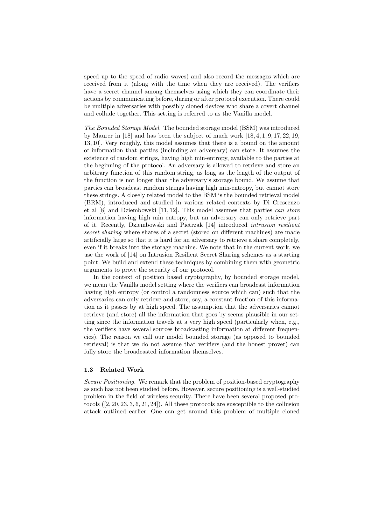speed up to the speed of radio waves) and also record the messages which are received from it (along with the time when they are received). The verifiers have a secret channel among themselves using which they can coordinate their actions by communicating before, during or after protocol execution. There could be multiple adversaries with possibly cloned devices who share a covert channel and collude together. This setting is referred to as the Vanilla model.

The Bounded Storage Model. The bounded storage model (BSM) was introduced by Maurer in [18] and has been the subject of much work [18, 4, 1, 9, 17, 22, 19, 13, 10]. Very roughly, this model assumes that there is a bound on the amount of information that parties (including an adversary) can store. It assumes the existence of random strings, having high min-entropy, available to the parties at the beginning of the protocol. An adversary is allowed to retrieve and store an arbitrary function of this random string, as long as the length of the output of the function is not longer than the adversary's storage bound. We assume that parties can broadcast random strings having high min-entropy, but cannot store these strings. A closely related model to the BSM is the bounded retrieval model (BRM), introduced and studied in various related contexts by Di Crescenzo et al [8] and Dziembowski [11, 12]. This model assumes that parties can store information having high min entropy, but an adversary can only retrieve part of it. Recently, Dziembowski and Pietrzak [14] introduced intrusion resilient secret sharing where shares of a secret (stored on different machines) are made artificially large so that it is hard for an adversary to retrieve a share completely, even if it breaks into the storage machine. We note that in the current work, we use the work of [14] on Intrusion Resilient Secret Sharing schemes as a starting point. We build and extend these techniques by combining them with geometric arguments to prove the security of our protocol.

In the context of position based cryptography, by bounded storage model, we mean the Vanilla model setting where the verifiers can broadcast information having high entropy (or control a randomness source which can) such that the adversaries can only retrieve and store, say, a constant fraction of this information as it passes by at high speed. The assumption that the adversaries cannot retrieve (and store) all the information that goes by seems plausible in our setting since the information travels at a very high speed (particularly when, e.g., the verifiers have several sources broadcasting information at different frequencies). The reason we call our model bounded storage (as opposed to bounded retrieval) is that we do not assume that verifiers (and the honest prover) can fully store the broadcasted information themselves.

#### 1.3 Related Work

Secure Positioning. We remark that the problem of position-based cryptography as such has not been studied before. However, secure positioning is a well-studied problem in the field of wireless security. There have been several proposed protocols  $([2, 20, 23, 3, 6, 21, 24])$ . All these protocols are susceptible to the collusion attack outlined earlier. One can get around this problem of multiple cloned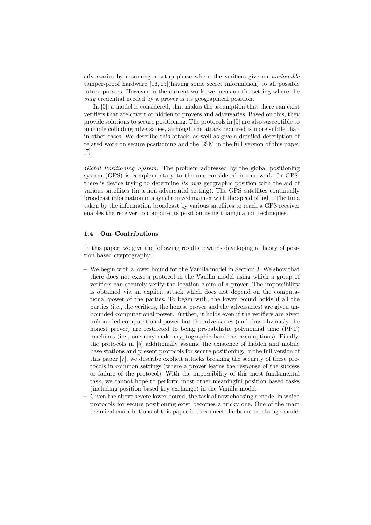adversaries by assuming a setup phase where the verifiers give an unclonable tamper-proof hardware [16, 15](having some secret information) to all possible future provers. However in the current work, we focus on the setting where the only credential needed by a prover is its geographical position.

In [5], a model is considered, that makes the assumption that there can exist verifiers that are covert or hidden to provers and adversaries. Based on this, they provide solutions to secure positioning. The protocols in [5] are also susceptible to multiple colluding adversaries, although the attack required is more subtle than in other cases. We describe this attack, as well as give a detailed description of related work on secure positioning and the BSM in the full version of this paper [7].

Global Positioning System. The problem addressed by the global positioning system (GPS) is complementary to the one considered in our work. In GPS, there is device trying to determine *its own* geographic position with the aid of various satellites (in a non-adversarial setting). The GPS satellites continually broadcast information in a synchronized manner with the speed of light. The time taken by the information broadcast by various satellites to reach a GPS receiver enables the receiver to compute its position using triangulation techniques.

#### 1.4 Our Contributions

In this paper, we give the following results towards developing a theory of position based cryptography:

- We begin with a lower bound for the Vanilla model in Section 3. We show that there does not exist a protocol in the Vanilla model using which a group of verifiers can securely verify the location claim of a prover. The impossibility is obtained via an explicit attack which does not depend on the computational power of the parties. To begin with, the lower bound holds if all the parties (i.e., the verifiers, the honest prover and the adversaries) are given unbounded computational power. Further, it holds even if the verifiers are given unbounded computational power but the adversaries (and thus obviously the honest prover) are restricted to being probabilistic polynomial time (PPT) machines (i.e., one may make cryptographic hardness assumptions). Finally, the protocols in [5] additionally assume the existence of hidden and mobile base stations and present protocols for secure positioning. In the full version of this paper [7], we describe explicit attacks breaking the security of these protocols in common settings (where a prover learns the response of the success or failure of the protocol). With the impossibility of this most fundamental task, we cannot hope to perform most other meaningful position based tasks (including position based key exchange) in the Vanilla model.
- Given the above severe lower bound, the task of now choosing a model in which protocols for secure positioning exist becomes a tricky one. One of the main technical contributions of this paper is to connect the bounded storage model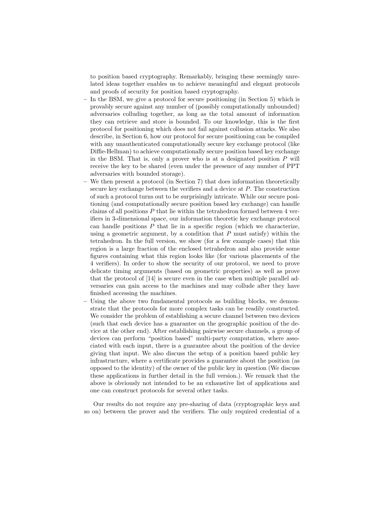to position based cryptography. Remarkably, bringing these seemingly unrelated ideas together enables us to achieve meaningful and elegant protocols and proofs of security for position based cryptography.

- In the BSM, we give a protocol for secure positioning (in Section 5) which is provably secure against any number of (possibly computationally unbounded) adversaries colluding together, as long as the total amount of information they can retrieve and store is bounded. To our knowledge, this is the first protocol for positioning which does not fail against collusion attacks. We also describe, in Section 6, how our protocol for secure positioning can be compiled with any unauthenticated computationally secure key exchange protocol (like Diffie-Hellman) to achieve computationally secure position based key exchange in the BSM. That is, only a prover who is at a designated position  $P$  will receive the key to be shared (even under the presence of any number of PPT adversaries with bounded storage).
- We then present a protocol (in Section 7) that does information theoretically secure key exchange between the verifiers and a device at P. The construction of such a protocol turns out to be surprisingly intricate. While our secure positioning (and computationally secure position based key exchange) can handle claims of all positions  $P$  that lie within the tetrahedron formed between  $4$  verifiers in 3-dimensional space, our information theoretic key exchange protocol can handle positions  $P$  that lie in a specific region (which we characterize, using a geometric argument, by a condition that  $P$  must satisfy) within the tetrahedron. In the full version, we show (for a few example cases) that this region is a large fraction of the enclosed tetrahedron and also provide some figures containing what this region looks like (for various placements of the 4 verifiers). In order to show the security of our protocol, we need to prove delicate timing arguments (based on geometric properties) as well as prove that the protocol of [14] is secure even in the case when multiple parallel adversaries can gain access to the machines and may collude after they have finished accessing the machines.
- Using the above two fundamental protocols as building blocks, we demonstrate that the protocols for more complex tasks can be readily constructed. We consider the problem of establishing a secure channel between two devices (such that each device has a guarantee on the geographic position of the device at the other end). After establishing pairwise secure channels, a group of devices can perform "position based" multi-party computation, where associated with each input, there is a guarantee about the position of the device giving that input. We also discuss the setup of a position based public key infrastructure, where a certificate provides a guarantee about the position (as opposed to the identity) of the owner of the public key in question (We discuss these applications in further detail in the full version.). We remark that the above is obviously not intended to be an exhaustive list of applications and one can construct protocols for several other tasks.

Our results do not require any pre-sharing of data (cryptographic keys and so on) between the prover and the verifiers. The only required credential of a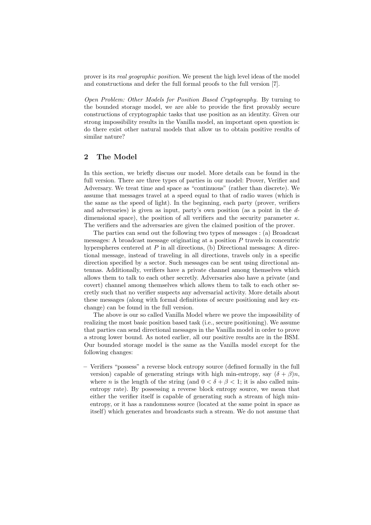prover is its real geographic position. We present the high level ideas of the model and constructions and defer the full formal proofs to the full version [7].

Open Problem: Other Models for Position Based Cryptography. By turning to the bounded storage model, we are able to provide the first provably secure constructions of cryptographic tasks that use position as an identity. Given our strong impossibility results in the Vanilla model, an important open question is: do there exist other natural models that allow us to obtain positive results of similar nature?

## 2 The Model

In this section, we briefly discuss our model. More details can be found in the full version. There are three types of parties in our model: Prover, Verifier and Adversary. We treat time and space as "continuous" (rather than discrete). We assume that messages travel at a speed equal to that of radio waves (which is the same as the speed of light). In the beginning, each party (prover, verifiers and adversaries) is given as input, party's own position (as a point in the ddimensional space), the position of all verifiers and the security parameter  $\kappa$ . The verifiers and the adversaries are given the claimed position of the prover.

The parties can send out the following two types of messages : (a) Broadcast messages: A broadcast message originating at a position  $P$  travels in concentric hyperspheres centered at  $P$  in all directions, (b) Directional messages: A directional message, instead of traveling in all directions, travels only in a specific direction specified by a sector. Such messages can be sent using directional antennas. Additionally, verifiers have a private channel among themselves which allows them to talk to each other secretly. Adversaries also have a private (and covert) channel among themselves which allows them to talk to each other secretly such that no verifier suspects any adversarial activity. More details about these messages (along with formal definitions of secure positioning and key exchange) can be found in the full version.

The above is our so called Vanilla Model where we prove the impossibility of realizing the most basic position based task (i.e., secure positioning). We assume that parties can send directional messages in the Vanilla model in order to prove a strong lower bound. As noted earlier, all our positive results are in the BSM. Our bounded storage model is the same as the Vanilla model except for the following changes:

– Verifiers "possess" a reverse block entropy source (defined formally in the full version) capable of generating strings with high min-entropy, say  $(\delta + \beta)n$ , where *n* is the length of the string (and  $0 < \delta + \beta < 1$ ; it is also called minentropy rate). By possessing a reverse block entropy source, we mean that either the verifier itself is capable of generating such a stream of high minentropy, or it has a randomness source (located at the same point in space as itself) which generates and broadcasts such a stream. We do not assume that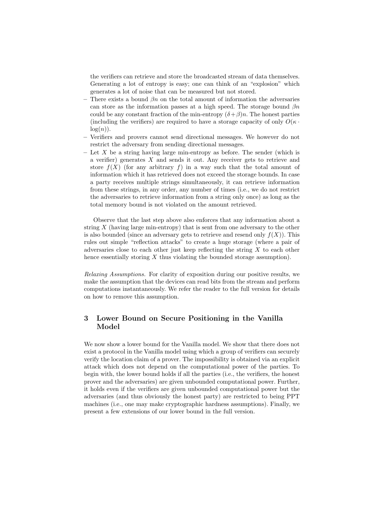the verifiers can retrieve and store the broadcasted stream of data themselves. Generating a lot of entropy is easy; one can think of an "explosion" which generates a lot of noise that can be measured but not stored.

- There exists a bound  $\beta n$  on the total amount of information the adversaries can store as the information passes at a high speed. The storage bound  $\beta n$ could be any constant fraction of the min-entropy  $(\delta + \beta)n$ . The honest parties (including the verifiers) are required to have a storage capacity of only  $O(\kappa \cdot$  $log(n)$ .
- Verifiers and provers cannot send directional messages. We however do not restrict the adversary from sending directional messages.
- Let X be a string having large min-entropy as before. The sender (which is a verifier) generates  $X$  and sends it out. Any receiver gets to retrieve and store  $f(X)$  (for any arbitrary f) in a way such that the total amount of information which it has retrieved does not exceed the storage bounds. In case a party receives multiple strings simultaneously, it can retrieve information from these strings, in any order, any number of times (i.e., we do not restrict the adversaries to retrieve information from a string only once) as long as the total memory bound is not violated on the amount retrieved.

Observe that the last step above also enforces that any information about a string  $X$  (having large min-entropy) that is sent from one adversary to the other is also bounded (since an adversary gets to retrieve and resend only  $f(X)$ ). This rules out simple "reflection attacks" to create a huge storage (where a pair of adversaries close to each other just keep reflecting the string  $X$  to each other hence essentially storing  $X$  thus violating the bounded storage assumption).

Relaxing Assumptions. For clarity of exposition during our positive results, we make the assumption that the devices can read bits from the stream and perform computations instantaneously. We refer the reader to the full version for details on how to remove this assumption.

## 3 Lower Bound on Secure Positioning in the Vanilla Model

We now show a lower bound for the Vanilla model. We show that there does not exist a protocol in the Vanilla model using which a group of verifiers can securely verify the location claim of a prover. The impossibility is obtained via an explicit attack which does not depend on the computational power of the parties. To begin with, the lower bound holds if all the parties (i.e., the verifiers, the honest prover and the adversaries) are given unbounded computational power. Further, it holds even if the verifiers are given unbounded computational power but the adversaries (and thus obviously the honest party) are restricted to being PPT machines (i.e., one may make cryptographic hardness assumptions). Finally, we present a few extensions of our lower bound in the full version.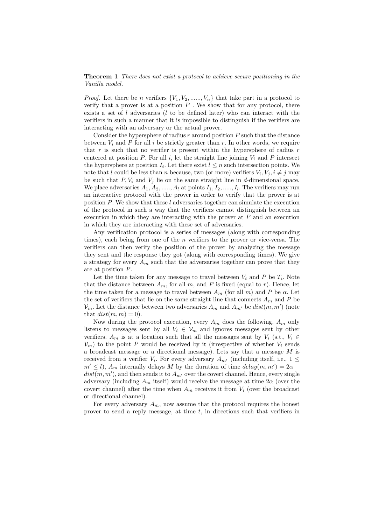#### Theorem 1 There does not exist a protocol to achieve secure positioning in the Vanilla model.

*Proof.* Let there be n verifiers  $\{V_1, V_2, \ldots, V_n\}$  that take part in a protocol to verify that a prover is at a position  $P$ . We show that for any protocol, there exists a set of l adversaries (l to be defined later) who can interact with the verifiers in such a manner that it is impossible to distinguish if the verifiers are interacting with an adversary or the actual prover.

Consider the hypersphere of radius  $r$  around position  $P$  such that the distance between  $V_i$  and P for all i be strictly greater than r. In other words, we require that r is such that no verifier is present within the hypersphere of radius  $r$ centered at position  $P$ . For all  $i$ , let the straight line joining  $V_i$  and  $P$  intersect the hypersphere at position  $I_i$ . Let there exist  $l \leq n$  such intersection points. We note that l could be less than n because, two (or more) verifiers  $V_i, V_j, i \neq j$  may be such that  $P, V_i$  and  $V_j$  lie on the same straight line in d-dimensional space. We place adversaries  $A_1, A_2, \ldots, A_l$  at points  $I_1, I_2, \ldots, I_l$ . The verifiers may run an interactive protocol with the prover in order to verify that the prover is at position  $P$ . We show that these l adversaries together can simulate the execution of the protocol in such a way that the verifiers cannot distinguish between an execution in which they are interacting with the prover at  $P$  and an execution in which they are interacting with these set of adversaries.

Any verification protocol is a series of messages (along with corresponding times), each being from one of the  $n$  verifiers to the prover or vice-versa. The verifiers can then verify the position of the prover by analyzing the message they sent and the response they got (along with corresponding times). We give a strategy for every  $A_m$  such that the adversaries together can prove that they are at position P.

Let the time taken for any message to travel between  $V_i$  and P be  $T_i$ . Note that the distance between  $A_m$ , for all m, and P is fixed (equal to r). Hence, let the time taken for a message to travel between  $A_m$  (for all m) and P be  $\alpha$ . Let the set of verifiers that lie on the same straight line that connects  $A_m$  and P be  $\mathcal{V}_m$ . Let the distance between two adversaries  $A_m$  and  $A_{m'}$  be  $dist(m, m')$  (note that  $dist(m, m) = 0$ .

Now during the protocol execution, every  $A_m$  does the following.  $A_m$  only listens to messages sent by all  $V_i \in \mathcal{V}_m$  and ignores messages sent by other verifiers.  $A_m$  is at a location such that all the messages sent by  $V_i$  (s.t.,  $V_i \in$  $\mathcal{V}_m$ ) to the point P would be received by it (irrespective of whether  $V_i$  sends a broadcast message or a directional message). Lets say that a message M is received from a verifier  $V_i$ . For every adversary  $A_{m'}$  (including itself, i.e.,  $1 \leq$  $m' \leq l$ ,  $A_m$  internally delays M by the duration of time  $delay(m, m') = 2\alpha$  $dist(m, m')$ , and then sends it to  $A_{m'}$  over the covert channel. Hence, every single adversary (including  $A_m$  itself) would receive the message at time  $2\alpha$  (over the covert channel) after the time when  $A_m$  receives it from  $V_i$  (over the broadcast or directional channel).

For every adversary  $A_m$ , now assume that the protocol requires the honest prover to send a reply message, at time  $t$ , in directions such that verifiers in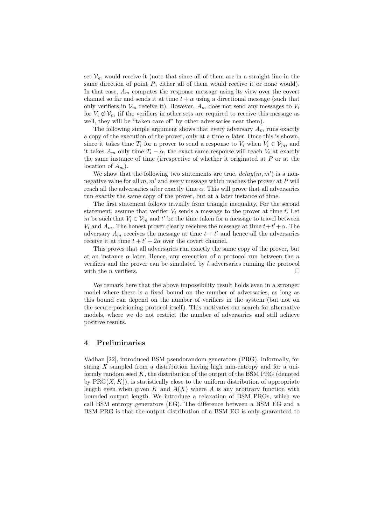set  $\mathcal{V}_m$  would receive it (note that since all of them are in a straight line in the same direction of point  $P$ , either all of them would receive it or none would). In that case,  $A_m$  computes the response message using its view over the covert channel so far and sends it at time  $t + \alpha$  using a directional message (such that only verifiers in  $\mathcal{V}_m$  receive it). However,  $A_m$  does not send any messages to  $V_i$ for  $V_i \notin V_m$  (if the verifiers in other sets are required to receive this message as well, they will be "taken care of" by other adversaries near them).

The following simple argument shows that every adversary  $A_m$  runs exactly a copy of the execution of the prover, only at a time  $\alpha$  later. Once this is shown, since it takes time  $T_i$  for a prover to send a response to  $V_i$  when  $V_i \in V_m$ , and it takes  $A_m$  only time  $T_i - \alpha$ , the exact same response will reach  $V_i$  at exactly the same instance of time (irrespective of whether it originated at P or at the location of  $A_m$ ).

We show that the following two statements are true.  $delay(m, m')$  is a nonnegative value for all  $m, m'$  and every message which reaches the prover at P will reach all the adversaries after exactly time  $\alpha$ . This will prove that all adversaries run exactly the same copy of the prover, but at a later instance of time.

The first statement follows trivially from triangle inequality. For the second statement, assume that verifier  $V_i$  sends a message to the prover at time t. Let m be such that  $V_i \in V_m$  and t' be the time taken for a message to travel between  $V_i$  and  $A_m$ . The honest prover clearly receives the message at time  $t + t' + \alpha$ . The adversary  $A_m$  receives the message at time  $t + t'$  and hence all the adversaries receive it at time  $t + t' + 2\alpha$  over the covert channel.

This proves that all adversaries run exactly the same copy of the prover, but at an instance  $\alpha$  later. Hence, any execution of a protocol run between the n verifiers and the prover can be simulated by  $l$  adversaries running the protocol with the *n* verifiers.  $\Box$ 

We remark here that the above impossibility result holds even in a stronger model where there is a fixed bound on the number of adversaries, as long as this bound can depend on the number of verifiers in the system (but not on the secure positioning protocol itself). This motivates our search for alternative models, where we do not restrict the number of adversaries and still achieve positive results.

## 4 Preliminaries

Vadhan [22], introduced BSM pseudorandom generators (PRG). Informally, for string X sampled from a distribution having high min-entropy and for a uniformly random seed  $K$ , the distribution of the output of the BSM PRG (denoted by  $PRG(X, K)$ , is statistically close to the uniform distribution of appropriate length even when given K and  $A(X)$  where A is any arbitrary function with bounded output length. We introduce a relaxation of BSM PRGs, which we call BSM entropy generators (EG). The difference between a BSM EG and a BSM PRG is that the output distribution of a BSM EG is only guaranteed to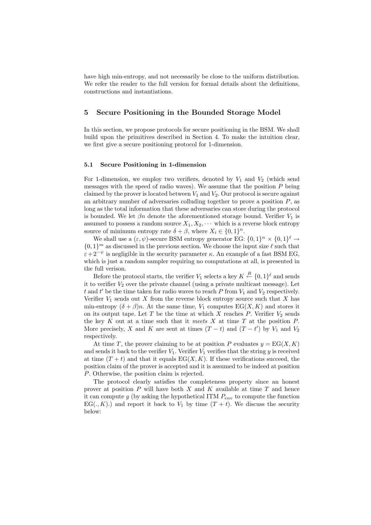have high min-entropy, and not necessarily be close to the uniform distribution. We refer the reader to the full version for formal details about the definitions, constructions and instantiations.

## 5 Secure Positioning in the Bounded Storage Model

In this section, we propose protocols for secure positioning in the BSM. We shall build upon the primitives described in Section 4. To make the intuition clear, we first give a secure positioning protocol for 1-dimension.

#### 5.1 Secure Positioning in 1-dimension

For 1-dimension, we employ two verifiers, denoted by  $V_1$  and  $V_2$  (which send messages with the speed of radio waves). We assume that the position  $P$  being claimed by the prover is located between  $V_1$  and  $V_2$ . Our protocol is secure against an arbitrary number of adversaries colluding together to prove a position  $P$ , as long as the total information that these adversaries can store during the protocol is bounded. We let  $\beta n$  denote the aforementioned storage bound. Verifier  $V_1$  is assumed to possess a random source  $X_1, X_2, \cdots$  which is a reverse block entropy source of minimum entropy rate  $\delta + \beta$ , where  $X_i \in \{0, 1\}^n$ .

We shall use a  $(\varepsilon, \psi)$ -secure BSM entropy generator EG:  $\{0, 1\}^n \times \{0, 1\}^{\ell} \to$  $\{0,1\}^m$  as discussed in the previous section. We choose the input size  $\ell$  such that  $\varepsilon+2^{-\psi}$  is negligible in the security parameter  $\kappa$ . An example of a fast BSM EG, which is just a random sampler requiring no computations at all, is presented in the full verison.

Before the protocol starts, the verifier  $V_1$  selects a key  $K \stackrel{R}{\leftarrow} \{0,1\}^{\ell}$  and sends it to verifier  $V_2$  over the private channel (using a private multicast message). Let t and  $t'$  be the time taken for radio waves to reach P from  $V_1$  and  $V_2$  respectively. Verifier  $V_1$  sends out X from the reverse block entropy source such that X has min-entropy  $(\delta + \beta)n$ . At the same time,  $V_1$  computes  $EG(X, K)$  and stores it on its output tape. Let  $T$  be the time at which  $X$  reaches  $P$ . Verifier  $V_2$  sends the key  $K$  out at a time such that it meets  $X$  at time  $T$  at the position  $P$ . More precisely, X and K are sent at times  $(T - t)$  and  $(T - t')$  by  $V_1$  and  $V_2$ respectively.

At time T, the prover claiming to be at position P evaluates  $y = EG(X, K)$ and sends it back to the verifier  $V_1$ . Verifier  $V_1$  verifies that the string y is received at time  $(T + t)$  and that it equals  $EG(X, K)$ . If these verifications succeed, the position claim of the prover is accepted and it is assumed to be indeed at position P. Otherwise, the position claim is rejected.

The protocol clearly satisfies the completeness property since an honest prover at position  $P$  will have both  $X$  and  $K$  available at time  $T$  and hence it can compute y (by asking the hypothetical ITM  $P_{env}$  to compute the function EG(., K).) and report it back to  $V_1$  by time  $(T + t)$ . We discuss the security below: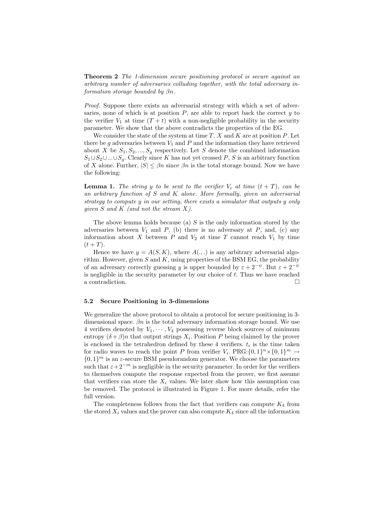**Theorem 2** The 1-dimension secure positioning protocol is secure against an arbitrary number of adversaries colluding together, with the total adversary information storage bounded by  $\beta n$ .

Proof. Suppose there exists an adversarial strategy with which a set of adversaries, none of which is at position  $P$ , are able to report back the correct  $y$  to the verifier  $V_1$  at time  $(T + t)$  with a non-negligible probability in the security parameter. We show that the above contradicts the properties of the EG.

We consider the state of the system at time  $T$ .  $X$  and  $K$  are at position  $P$ . Let there be  $g$  adversaries between  $V_1$  and  $P$  and the information they have retrieved about X be  $S_1, S_2, ..., S_g$  respectively. Let S denote the combined information  $S_1 \cup S_2 \cup ... \cup S_q$ . Clearly since K has not yet crossed P, S is an arbitrary function of X alone. Further,  $|S| \leq \beta n$  since  $\beta n$  is the total storage bound. Now we have the following:

**Lemma 1.** The string y to be sent to the verifier  $V_i$  at time  $(t + T)$ , can be an arbitrary function of S and K alone. More formally, given an adversarial strategy to compute y in our setting, there exists a simulator that outputs y only given S and K (and not the stream  $X$ ).

The above lemma holds because (a)  $S$  is the only information stored by the adversaries between  $V_1$  and  $P$ , (b) there is no adversary at  $P$ , and, (c) any information about X between  $P$  and  $V_2$  at time  $T$  cannot reach  $V_1$  by time  $(t+T)$ .

Hence we have  $y = A(S, K)$ , where  $A(., .)$  is any arbitrary adversarial algorithm. However, given  $S$  and  $K$ , using properties of the BSM EG, the probability of an adversary correctly guessing y is upper bounded by  $\varepsilon + 2^{-\psi}$ . But  $\varepsilon + 2^{-\psi}$ is negligible in the security parameter by our choice of  $\ell$ . Thus we have reached a contradiction.  $\Box$ 

#### 5.2 Secure Positioning in 3-dimensions

We generalize the above protocol to obtain a protocol for secure positioning in 3 dimensional space.  $\beta n$  is the total adversary information storage bound. We use 4 verifiers denoted by  $V_1, \dots, V_4$  possessing reverse block sources of minimum entropy  $(\delta + \beta)n$  that output strings  $X_i$ . Position P being claimed by the prover is enclosed in the tetrahedron defined by these 4 verifiers.  $t_i$  is the time taken for radio waves to reach the point P from verifier  $V_i$ . PRG: $\{0,1\}^n \times \{0,1\}^m \to$  $\{0,1\}^m$  is an  $\varepsilon$ -secure BSM pseudorandom generator. We choose the parameters such that  $\varepsilon+2^{-m}$  is negligible in the security parameter. In order for the verifiers to themselves compute the response expected from the prover, we first assume that verifiers can store the  $X_i$  values. We later show how this assumption can be removed. The protocol is illustrated in Figure 1. For more details, refer the full version.

The completeness follows from the fact that verifiers can compute  $K_4$  from the stored  $X_i$  values and the prover can also compute  $K_4$  since all the information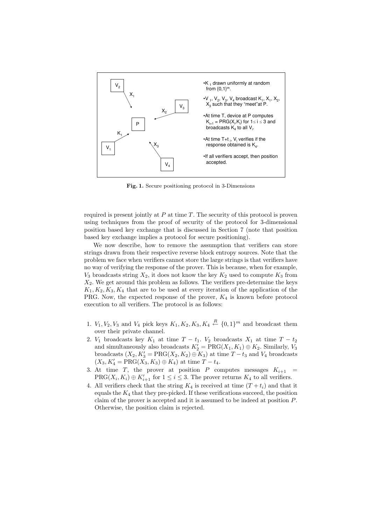

Fig. 1. Secure positioning protocol in 3-Dimensions

required is present jointly at  $P$  at time  $T$ . The security of this protocol is proven using techniques from the proof of security of the protocol for 3-dimensional position based key exchange that is discussed in Section 7 (note that position based key exchange implies a protocol for secure positioning).

We now describe, how to remove the assumption that verifiers can store strings drawn from their respective reverse block entropy sources. Note that the problem we face when verifiers cannot store the large strings is that verifiers have no way of verifying the response of the prover. This is because, when for example,  $V_3$  broadcasts string  $X_2$ , it does not know the key  $K_2$  used to compute  $K_3$  from  $X_2$ . We get around this problem as follows. The verifiers pre-determine the keys  $K_1, K_2, K_3, K_4$  that are to be used at every iteration of the application of the PRG. Now, the expected response of the prover,  $K_4$  is known before protocol execution to all verifiers. The protocol is as follows:

- 1.  $V_1, V_2, V_3$  and  $V_4$  pick keys  $K_1, K_2, K_3, K_4 \stackrel{R}{\leftarrow} \{0, 1\}^m$  and broadcast them over their private channel.
- 2.  $V_1$  broadcasts key  $K_1$  at time  $T t_1$ .  $V_2$  broadcasts  $X_1$  at time  $T t_2$ and simultaneously also broadcasts  $K_2' = \text{PRG}(X_1, K_1) \oplus K_2$ . Similarly,  $V_3$ broadcasts  $(X_2, K'_3 = \text{PRG}(X_2, K_2) \oplus K_3)$  at time  $T - t_3$  and  $V_4$  broadcasts  $(X_3, K'_4 = \text{PRG}(X_3, K_3) \oplus K_4)$  at time  $T - t_4$ .
- 3. At time  $T$ , the prover at position  $P$  computes messages  $K_{i+1}$  =  $PRG(X_i, K_i) \oplus K'_{i+1}$  for  $1 \leq i \leq 3$ . The prover returns  $K_4$  to all verifiers.
- 4. All verifiers check that the string  $K_4$  is received at time  $(T + t_i)$  and that it equals the  $K_4$  that they pre-picked. If these verifications succeed, the position claim of the prover is accepted and it is assumed to be indeed at position P. Otherwise, the position claim is rejected.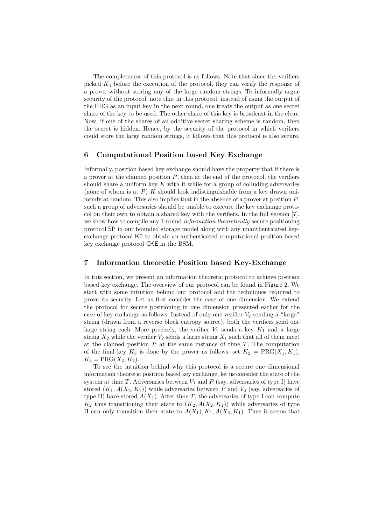The completeness of this protocol is as follows. Note that since the verifiers picked  $K_4$  before the execution of the protocol, they can verify the response of a prover without storing any of the large random strings. To informally argue security of the protocol, note that in this protocol, instead of using the output of the PRG as an input key in the next round, one treats the output as one secret share of the key to be used. The other share of this key is broadcast in the clear. Now, if one of the shares of an additive secret sharing scheme is random, then the secret is hidden. Hence, by the security of the protocol in which verifiers could store the large random strings, it follows that this protocol is also secure.

## 6 Computational Position based Key Exchange

Informally, position based key exchange should have the property that if there is a prover at the claimed position  $P$ , then at the end of the protocol, the verifiers should share a uniform key  $K$  with it while for a group of colluding adversaries (none of whom is at  $P$ ) K should look indistinguishable from a key drawn uniformly at random. This also implies that in the absence of a prover at position  $P$ . such a group of adversaries should be unable to execute the key exchange protocol on their own to obtain a shared key with the verifiers. In the full version [7], we show how to compile any 1-round *information theoretically* secure positioning protocol SP in our bounded storage model along with any unauthenticated keyexchange protocol KE to obtain an authenticated computational position based key exchange protocol CKE in the BSM.

### 7 Information theoretic Position based Key-Exchange

In this section, we present an information theoretic protocol to achieve position based key exchange. The overview of our protocol can be found in Figure 2. We start with some intuition behind our protocol and the techniques required to prove its security. Let us first consider the case of one dimension. We extend the protocol for secure positioning in one dimension presented earlier for the case of key exchange as follows. Instead of only one verifier  $V_2$  sending a "large" string (drawn from a reverse block entropy source), both the verifiers send one large string each. More precisely, the verifier  $V_1$  sends a key  $K_1$  and a large string  $X_2$  while the verifier  $V_2$  sends a large string  $X_1$  such that all of them meet at the claimed position  $P$  at the same instance of time  $T$ . The computation of the final key  $K_3$  is done by the prover as follows: set  $K_2 = \text{PRG}(X_1, K_1)$ ,  $K_3 = \text{PRG}(X_2, K_2).$ 

To see the intuition behind why this protocol is a secure one dimensional information theoretic position based key exchange, let us consider the state of the system at time T. Adversaries between  $V_1$  and P (say, adversaries of type I) have stored  $(K_1, A(X_2, K_1))$  while adversaries between P and  $V_2$  (say, adversaries of type II) have stored  $A(X_1)$ . After time T, the adversaries of type I can compute  $K_2$  thus transitioning their state to  $(K_2, A(X_2, K_1))$  while adversaries of type II can only transition their state to  $A(X_1), K_1, A(X_2, K_1)$ . Thus it seems that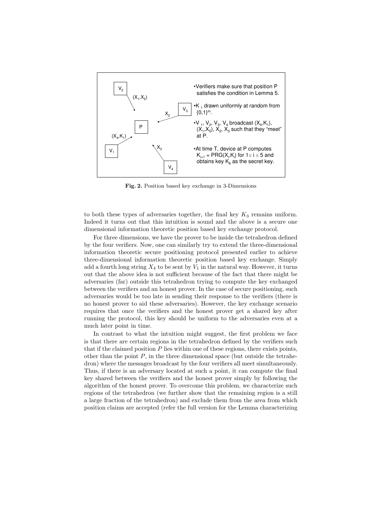

Fig. 2. Position based key exchange in 3-Dimensions

to both these types of adversaries together, the final key  $K_3$  remains uniform. Indeed it turns out that this intuition is sound and the above is a secure one dimensional information theoretic position based key exchange protocol.

For three dimensions, we have the prover to be inside the tetrahedron defined by the four verifiers. Now, one can similarly try to extend the three-dimensional information theoretic secure positioning protocol presented earlier to achieve three-dimensional information theoretic position based key exchange. Simply add a fourth long string  $X_4$  to be sent by  $V_1$  in the natural way. However, it turns out that the above idea is not sufficient because of the fact that there might be adversaries (far) outside this tetrahedron trying to compute the key exchanged between the verifiers and an honest prover. In the case of secure positioning, such adversaries would be too late in sending their response to the verifiers (there is no honest prover to aid these adversaries). However, the key exchange scenario requires that once the verifiers and the honest prover get a shared key after running the protocol, this key should be uniform to the adversaries even at a much later point in time.

In contrast to what the intuition might suggest, the first problem we face is that there are certain regions in the tetrahedron defined by the verifiers such that if the claimed position  $P$  lies within one of these regions, there exists points, other than the point  $P$ , in the three dimensional space (but outside the tetrahedron) where the messages broadcast by the four verifiers all meet simultaneously. Thus, if there is an adversary located at such a point, it can compute the final key shared between the verifiers and the honest prover simply by following the algorithm of the honest prover. To overcome this problem, we characterize such regions of the tetrahedron (we further show that the remaining region is a still a large fraction of the tetrahedron) and exclude them from the area from which position claims are accepted (refer the full version for the Lemma characterizing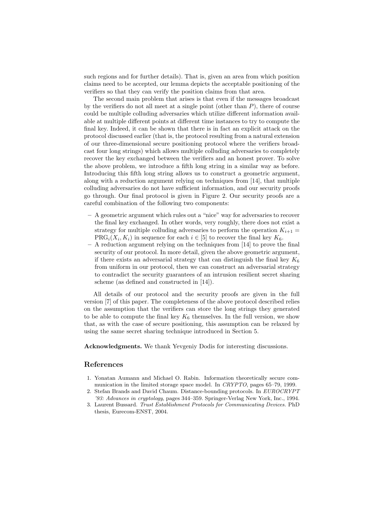such regions and for further details). That is, given an area from which position claims need to be accepted, our lemma depicts the acceptable positioning of the verifiers so that they can verify the position claims from that area.

The second main problem that arises is that even if the messages broadcast by the verifiers do not all meet at a single point (other than  $P$ ), there of course could be multiple colluding adversaries which utilize different information available at multiple different points at different time instances to try to compute the final key. Indeed, it can be shown that there is in fact an explicit attack on the protocol discussed earlier (that is, the protocol resulting from a natural extension of our three-dimensional secure positioning protocol where the verifiers broadcast four long strings) which allows multiple colluding adversaries to completely recover the key exchanged between the verifiers and an honest prover. To solve the above problem, we introduce a fifth long string in a similar way as before. Introducing this fifth long string allows us to construct a geometric argument, along with a reduction argument relying on techniques from [14], that multiple colluding adversaries do not have sufficient information, and our security proofs go through. Our final protocol is given in Figure 2. Our security proofs are a careful combination of the following two components:

- A geometric argument which rules out a "nice" way for adversaries to recover the final key exchanged. In other words, very roughly, there does not exist a strategy for multiple colluding adversaries to perform the operation  $K_{i+1}$  =  $PRG_i(X_i, K_i)$  in sequence for each  $i \in [5]$  to recover the final key  $K_6$ .
- A reduction argument relying on the techniques from [14] to prove the final security of our protocol. In more detail, given the above geometric argument, if there exists an adversarial strategy that can distinguish the final key  $K_6$ from uniform in our protocol, then we can construct an adversarial strategy to contradict the security guarantees of an intrusion resilient secret sharing scheme (as defined and constructed in [14]).

All details of our protocol and the security proofs are given in the full version [7] of this paper. The completeness of the above protocol described relies on the assumption that the verifiers can store the long strings they generated to be able to compute the final key  $K_6$  themselves. In the full version, we show that, as with the case of secure positioning, this assumption can be relaxed by using the same secret sharing technique introduced in Section 5.

Acknowledgments. We thank Yevgeniy Dodis for interesting discussions.

## References

- 1. Yonatan Aumann and Michael O. Rabin. Information theoretically secure communication in the limited storage space model. In CRYPTO, pages 65–79, 1999.
- 2. Stefan Brands and David Chaum. Distance-bounding protocols. In EUROCRYPT '93: Advances in cryptology, pages 344–359. Springer-Verlag New York, Inc., 1994.
- 3. Laurent Bussard. Trust Establishment Protocols for Communicating Devices. PhD thesis, Eurecom-ENST, 2004.